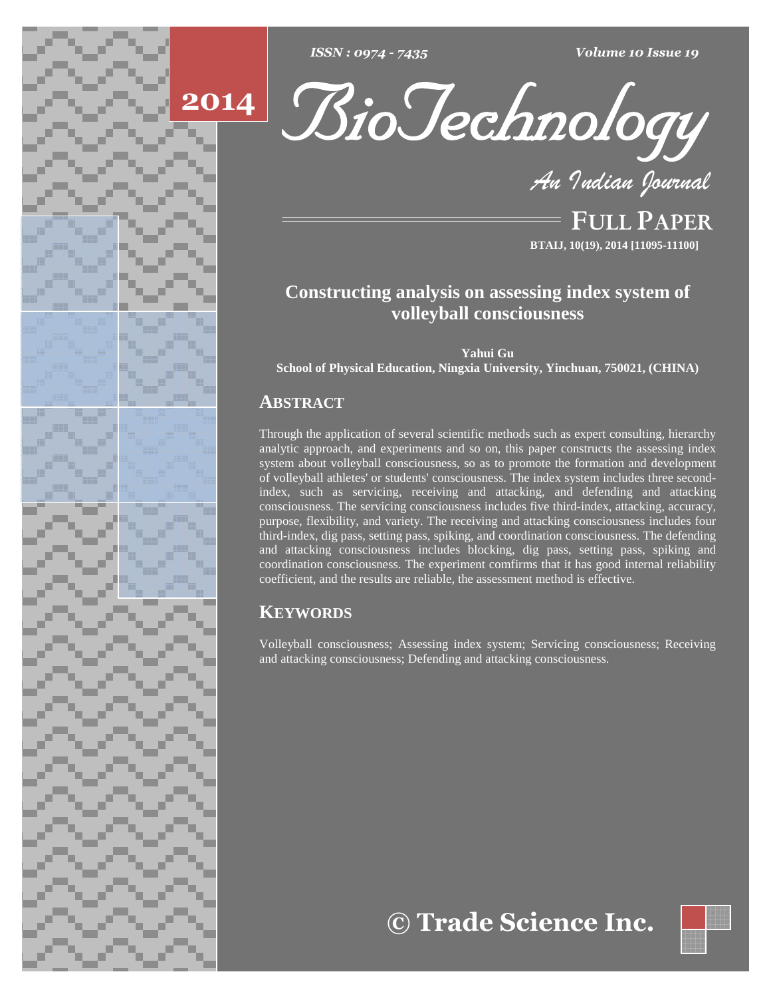





**FULL PAPER BTAIJ, 10(19), 2014 [11095-11100]**

# **Constructing analysis on assessing index system of volleyball consciousness**

**Yahui Gu**

**School of Physical Education, Ningxia University, Yinchuan, 750021, (CHINA)**

## **ABSTRACT**

Through the application of several scientific methods such as expert consulting, hierarchy analytic approach, and experiments and so on, this paper constructs the assessing index system about volleyball consciousness, so as to promote the formation and development of volleyball athletes' or students' consciousness. The index system includes three secondindex, such as servicing, receiving and attacking, and defending and attacking consciousness. The servicing consciousness includes five third-index, attacking, accuracy, purpose, flexibility, and variety. The receiving and attacking consciousness includes four third-index, dig pass, setting pass, spiking, and coordination consciousness. The defending and attacking consciousness includes blocking, dig pass, setting pass, spiking and coordination consciousness. The experiment comfirms that it has good internal reliability coefficient, and the results are reliable, the assessment method is effective.

## **KEYWORDS**

Volleyball consciousness; Assessing index system; Servicing consciousness; Receiving and attacking consciousness; Defending and attacking consciousness.

**Trade Science Inc.**

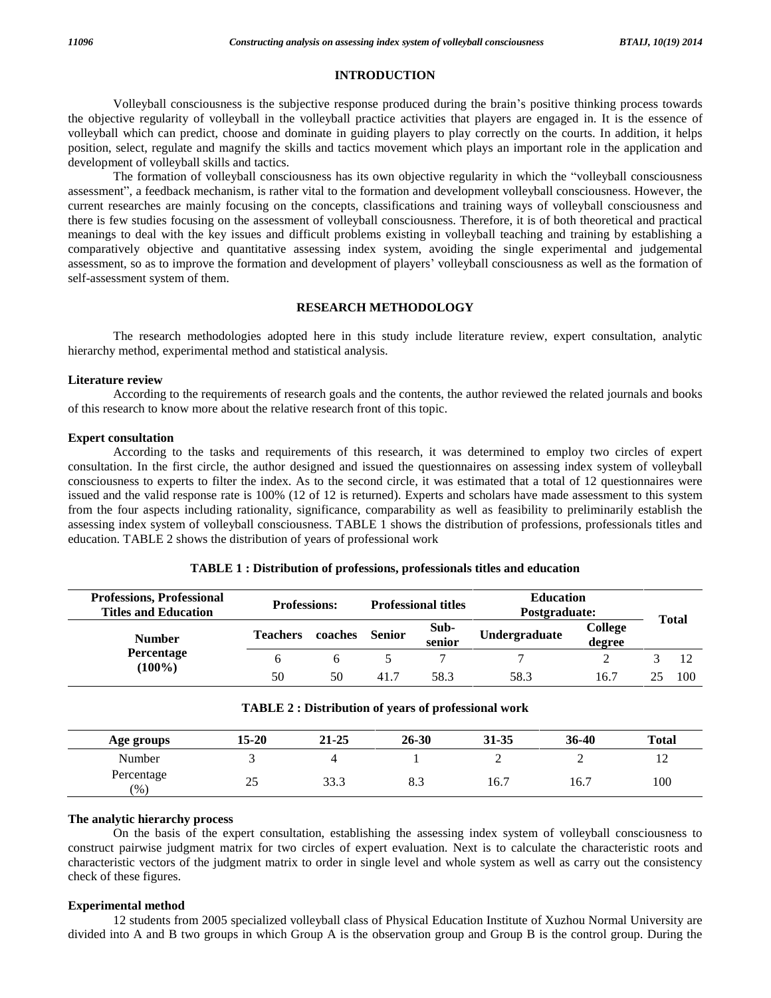#### **INTRODUCTION**

Volleyball consciousness is the subjective response produced during the brain's positive thinking process towards the objective regularity of volleyball in the volleyball practice activities that players are engaged in. It is the essence of volleyball which can predict, choose and dominate in guiding players to play correctly on the courts. In addition, it helps position, select, regulate and magnify the skills and tactics movement which plays an important role in the application and<br>development of volleyball skills and tactics.<br>The formation of volleyball consciousness has its ow development of volleyball skills and tactics.

The formation of volleyball consciousness has its own objective regularity in which the "volleyball consciousness assessment", a feedback mechanism, is rather vital to the formation and development volleyball consciousness current researches are mainly focusing on the concepts, classifications and training ways of volleyball consciousness and there is few studies focusing on the assessment of volleyball consciousness. Therefore, it is of both theoretical and practical meanings to deal with the key issues and difficult problems existing in volleyball teaching and training by establishing a comparatively objective and quantitative assessing index system, avoiding the single experimental and judgemental assessment, so as to improve the formation and development of players' volleyball consciousness as well as the formation of self-assessment system of them.

## **RESEARCH METHODOLOGY**

The research methodologies adopted here in this study include literature review, expert consultation, analytic hierarchy method, experimental method and statistical analysis.

#### **Literature review**

According to the requirements of research goals and the contents, the author reviewed the related journals and books of this research to know more about the relative research front of this topic.

#### **Expert consultation**

According to the tasks and requirements of this research, it was determined to employ two circles of expert consultation. In the first circle, the author designed and issued the questionnaires on assessing index system of volleyball consciousness to experts to filter the index. As to the second circle, it was estimated that a total of 12 questionnaires were issued and the valid response rate is 100% (12 of 12 is returned). Experts and scholars have made assessment to this system from the four aspects including rationality, significance, comparability as well as feasibility to preliminarily establish the assessing index system of volleyball consciousness. TABLE 1shows the distribution of professions, professionals titles and education. TABLE 2 shows the distribution of years of professional work

| <b>Professions, Professional</b><br><b>Titles and Education</b> | <b>Professions:</b> |         |        | <b>Professional titles</b> | <b>Education</b><br>Postgraduate: |                          | <b>Total</b> |
|-----------------------------------------------------------------|---------------------|---------|--------|----------------------------|-----------------------------------|--------------------------|--------------|
| <b>Number</b>                                                   | <b>Teachers</b>     | coaches | Senior | Sub-<br>senior             | Undergraduate                     | <b>College</b><br>degree |              |
| <b>Percentage</b>                                               |                     |         |        |                            |                                   |                          |              |
| $(100\%)$                                                       | 50                  | 50      | 41.7   | 58.3                       | 58.3                              | 16.7                     | 100          |

#### **TABLE 1 : Distribution of professions, professionals titles and education**

| TABLE 2 : Distribution of years of professional work |  |  |  |
|------------------------------------------------------|--|--|--|
|------------------------------------------------------|--|--|--|

| Age groups        | 15-20 | 21-25 | $26 - 30$ | 31-35 | 36-40 | <b>Total</b>   |
|-------------------|-------|-------|-----------|-------|-------|----------------|
| Number            |       |       |           | ∽     |       | $\overline{ }$ |
| Percentage<br>(%) | 25    | 33.3  | 8.3       | 16.7  | 16.7  | 100            |

## **The analytic hierarchy process**

On the basis of the expert consultation, establishing the assessing index system of volleyball consciousness to construct pairwise judgment matrix for two circles of expert evaluation. Next is to calculate the characteristic roots and characteristic vectors of the judgment matrix to order in single level and whole system as well as carry outthe consistency check of these figures.

#### **Experimental method**

12 students from 2005 specialized volleyball class of Physical Education Institute of Xuzhou Normal University are divided into A and B two groups in which Group A is the observation group and Group B is the control group. During the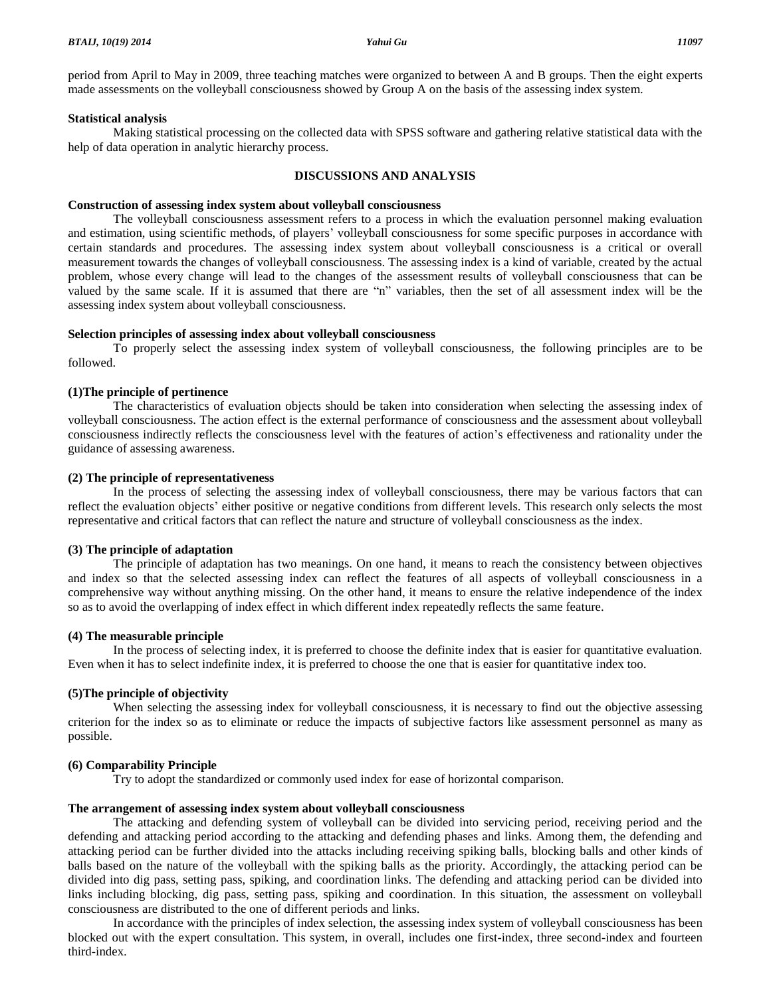period from April to May in 2009, three teaching matches were organized to between A and B groups. Then the eight experts made assessments on the volleyball consciousness showed by Group A on the basis of the assessing index system.

#### **Statistical analysis**

Making statistical processing on the collected data with SPSS software and gathering relative statistical data with the help of data operation in analytic hierarchy process.

#### **DISCUSSIONS AND ANALYSIS**

#### **Construction of assessing index system about volleyball consciousness**

The volleyball consciousness assessment refers to a process in which the evaluation personnel making evaluation and estimation, using scientific methods, of players' volleyball consciousness for some specific purposes in accordance with certain standards and procedures. The assessing index system about volleyball consciousness is a critical or overall measurement towards the changes of volleyball consciousness. The assessing index is a kind of variable, created by the actual problem, whose every change will lead to the changes of the assessment results of volleyball consciousness that can be valued by the same scale. If it is assumed that there are "n" variables, then the set of all assessment index will be the assessing index system about volleyball consciousness.

## **Selection principles of assessing index about volleyball consciousness**

To properly select the assessing index system of volleyball consciousness, the following principles are to be followed.

#### **(1)The principle of pertinence**

The characteristics of evaluation objects should be taken into consideration when selecting the assessing index of volleyball consciousness. The action effect is the external performance of consciousness and the assessment about volleyball consciousness indirectly reflects the consciousness level with the features of action's effectiveness and rationality under the guidance of assessing awareness.

#### **(2) The principle of representativeness**

In the process of selecting the assessing index of volleyball consciousness, there may be various factors that can reflect the evaluation objects' either positive or negative conditions from different levels. This research only selects the most representative and critical factors that can reflect the nature and structure of volleyball consciousness as the index.

#### **(3) The principle of adaptation**

The principle of adaptation has two meanings. On one hand, it means to reach the consistency between objectives and index so that the selected assessing index can reflect the features of all aspects of volleyball consciousness in a comprehensive way without anything missing. On the other hand, it means to ensure the relative independence of the index so as to avoid the overlapping of index effect in which different index repeatedly reflects the same feature.

#### **(4) The measurable principle**

In the process of selecting index, it is preferred to choose the definite index that is easier for quantitative evaluation. Even when it has to select indefinite index, it is preferred to choose the one that is easier for quantitative index too.

## **(5)The principle of objectivity**

When selecting the assessing index for volleyball consciousness, it is necessary to find out the objective assessing criterion for the index so as to eliminate or reduce the impacts of subjective factors like assessment personnel as many as possible.

## **(6) Comparability Principle**

Try to adopt the standardized or commonly used index for ease of horizontal comparison.

#### **The arrangement of assessing index system about volleyball consciousness**

The attacking and defending system of volleyball can be divided into servicing period, receiving period and the defending and attacking period according to the attacking and defending phases and links. Among them, the defending and attacking period can be further divided into the attacks including receiving spiking balls, blocking balls and other kinds of balls based on the nature of the volleyball with the spiking balls as the priority. Accordingly, the attacking period can be divided into dig pass, setting pass, spiking, and coordination links. The defending and attacking period can be divided into links including blocking, dig pass, setting pass, spiking and coordination. In this situation, the assessment on volleyball consciousness are distributed to the one of different periods and links.

In accordance with the principles of index selection, the assessing index system of volleyball consciousness has been blocked out with the expert consultation. This system, in overall, includes one first-index, three second-index and fourteen third-index.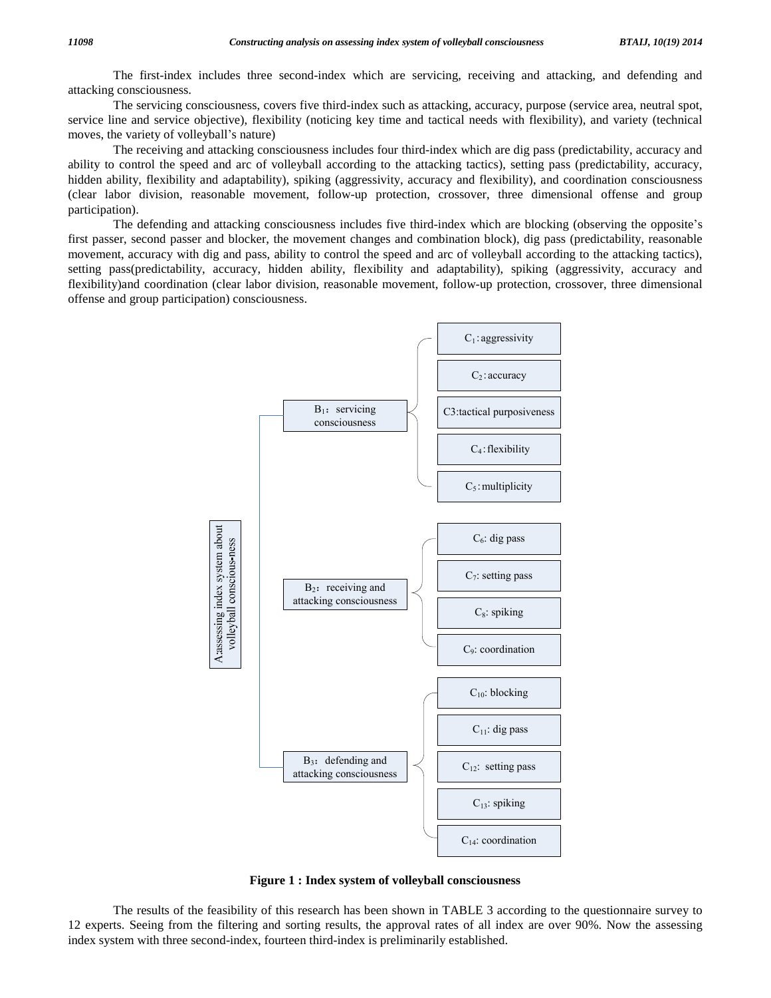The first-index includes three second-index which are servicing, receiving and attacking, and defending and attacking consciousness.

The servicing consciousness, covers five third-index such as attacking, accuracy, purpose (service area, neutral spot, service line and service objective), flexibility (noticing key time and tactical needs with flexibility), and variety (technical The servicing consciousness, covers fi<br>service line and service objective), flexibility<br>moves, the variety of volleyball's nature)

The receiving and attacking consciousness includes four third-index which are dig pass (predictability, accuracy and ability to control the speed and arc of volleyball according to the attacking tactics), setting pass (predictability, accuracy, hidden ability, flexibility and adaptability), spiking (aggressivity, accuracy and flexibility), and coordination consciousness (clear labor division, reasonable movement, follow-up protection, crossover, three dimensional offense and group<br>participation).<br>The defending and attacking consciousness includes five third-index which are blocking (obser participation).

first passer, second passer and blocker, the movement changes and combination block), dig pass (predictability, reasonable movement, accuracy with dig and pass, ability to control the speed and arc of volleyball according to the attacking tactics), setting pass(predictability, accuracy, hidden ability, flexibility and adaptability), spiking (aggressivity, accuracy and flexibility)and coordination (clear labor division, reasonable movement, follow-up protection, crossover, three dimensional offense and group participation) consciousness.



**Figure 1 : Index system of volleyball consciousness**

The results of the feasibility of this research has been shown in TABLE 3 according to the questionnaire survey to 12 experts. Seeing from the filtering and sorting results, the approval rates of all index are over 90%. Now the assessing index system with three second-index, fourteen third-index is preliminarily established.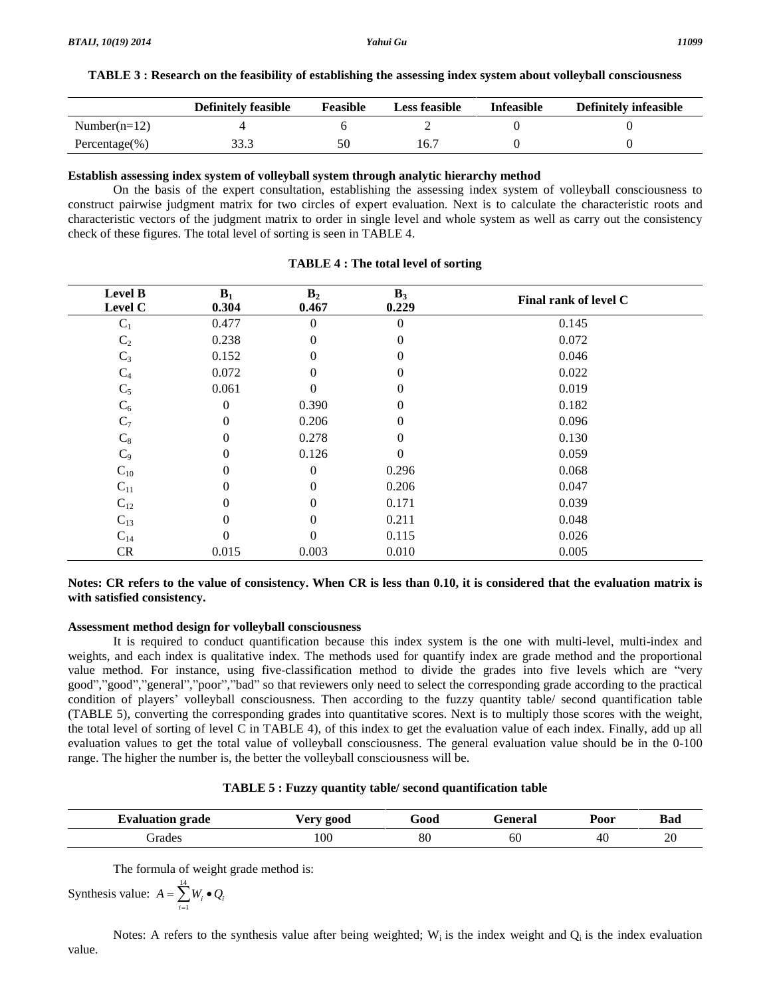| TABLE 3: Research on the feasibility of establishing the assessing index system about volleyball consciousness |  |
|----------------------------------------------------------------------------------------------------------------|--|
|                                                                                                                |  |

|                  | <b>Definitely feasible</b> | Feasible | <b>Less feasible</b> | <b>Infeasible</b> | Definitely infeasible |
|------------------|----------------------------|----------|----------------------|-------------------|-----------------------|
| Number( $n=12$ ) |                            |          |                      |                   |                       |
| Percentage(%)    |                            |          | 16.T                 |                   |                       |

#### **Establish assessing index system of volleyball system through analytic hierarchy method**

On the basis of the expert consultation, establishing the assessing index system of volleyball consciousness to construct pairwise judgment matrix for two circles of expert evaluation. Next is to calculate the characteristic roots and characteristic vectors of the judgment matrix to order in single level and whole system as well as carry outthe consistency check of these figures. The total level of sorting is seen in TABLE 4.

| <b>Level B</b><br>Level C | $B_1$<br>0.304 | B <sub>2</sub><br>0.467 | $B_3$<br>0.229 | Final rank of level C |
|---------------------------|----------------|-------------------------|----------------|-----------------------|
| $C_1$                     | 0.477          | $\Omega$                | $\theta$       | 0.145                 |
| C <sub>2</sub>            | 0.238          | 0                       | 0              | 0.072                 |
| $C_3$                     | 0.152          | 0                       | 0              | 0.046                 |
| $C_4$                     | 0.072          | 0                       | $\theta$       | 0.022                 |
| $C_5$                     | 0.061          | 0                       | 0              | 0.019                 |
| $C_6$                     | $\mathbf{0}$   | 0.390                   | 0              | 0.182                 |
| $C_7$                     | $\mathbf{0}$   | 0.206                   | 0              | 0.096                 |
| $C_8$                     | $\theta$       | 0.278                   | 0              | 0.130                 |
| $C_9$                     | $\mathbf{0}$   | 0.126                   | $\Omega$       | 0.059                 |
| $C_{10}$                  | $\theta$       | $\Omega$                | 0.296          | 0.068                 |
| $C_{11}$                  | $\mathbf{0}$   | 0                       | 0.206          | 0.047                 |
| $C_{12}$                  | $\mathbf{0}$   | 0                       | 0.171          | 0.039                 |
| $C_{13}$                  | $\mathbf{0}$   | 0                       | 0.211          | 0.048                 |
| $C_{14}$                  | $\Omega$       | $\Omega$                | 0.115          | 0.026                 |
| CR                        | 0.015          | 0.003                   | 0.010          | 0.005                 |

## **TABLE 4 : The total level of sorting**

## Notes: CR refers to the value of consistency. When CR is less than 0.10, it is considered that the evaluation matrix is **with satisfied consistency.**

## **Assessment method design for volleyball consciousness**

It is required to conduct quantification because this index system is the one with multi-level, multi-index and weights, and each index is qualitative index. The methods used for quantify index are grade method and the proportional It is required to conduct quantification because this index system is the one with multi-level, multi-index and<br>weights, and each index is qualitative index. The methods used for quantify index are grade method and the pro weights, and each index is qualitative index. The methods used for quantify index are grade method and the proportional value method. For instance, using five-classification method to divide the grades into five levels whi value method. For instance, using five-classification method to divide the grades into five levels which are "very good","good","general","poor","bad" so that reviewers only need to select the corresponding grade according (TABLE 5), converting the corresponding grades into quantitative scores. Next is to multiply those scores with the weight, the total level of sorting of level C in TABLE 4), of this index to get the evaluation value of each index. Finally, add up all evaluation values to get the total value of volleyball consciousness. The general evaluation value should be in the 0-100 range. The higher the number is, the better the volleyball consciousness will be.

| l vo<br>grade<br>- - -<br>$\cdots$ , and an equal to $\cdots$ | √er•<br><b>2000</b> | .<br>600t | $\alpha$ n $\alpha$ r $\alpha$<br>л а. | Poor | Bad      |
|---------------------------------------------------------------|---------------------|-----------|----------------------------------------|------|----------|
| irade.                                                        | 100                 | ər<br>ðU  | 60                                     | -46  | nr<br>ZU |

The formula of weight grade method is:

The formula of weight grade method  
Synthesis value: 
$$
A = \sum_{i=1}^{14} W_i \bullet Q_i
$$

Notes: A refers to the synthesis value after being weighted;  $W_i$  is the index weight and  $Q_i$  is the index evaluation value.